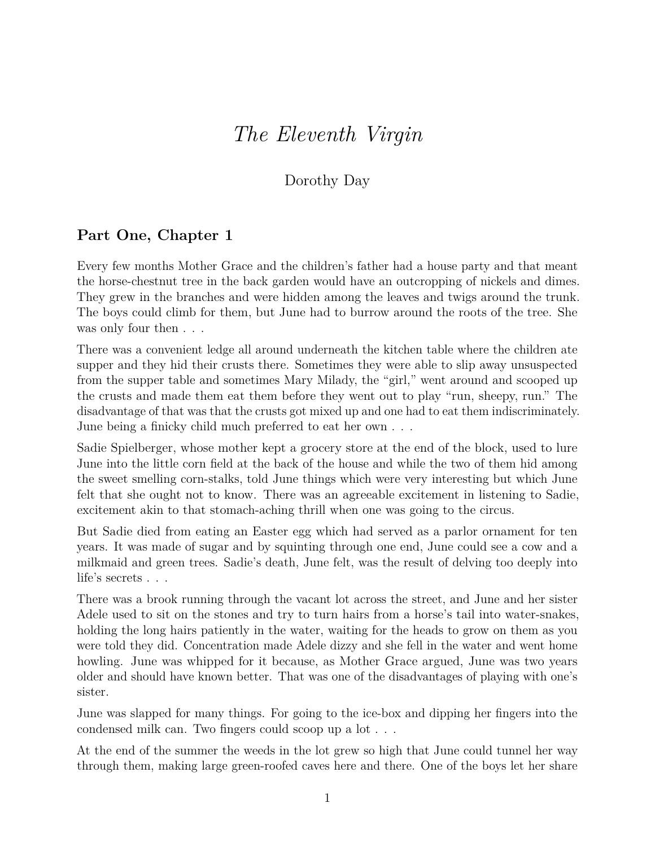## *The Eleventh Virgin*

## Dorothy Day

## **Part One, Chapter 1**

Every few months Mother Grace and the children's father had a house party and that meant the horse-chestnut tree in the back garden would have an outcropping of nickels and dimes. They grew in the branches and were hidden among the leaves and twigs around the trunk. The boys could climb for them, but June had to burrow around the roots of the tree. She was only four then  $\ldots$ 

There was a convenient ledge all around underneath the kitchen table where the children ate supper and they hid their crusts there. Sometimes they were able to slip away unsuspected from the supper table and sometimes Mary Milady, the "girl," went around and scooped up the crusts and made them eat them before they went out to play "run, sheepy, run." The disadvantage of that was that the crusts got mixed up and one had to eat them indiscriminately. June being a finicky child much preferred to eat her own . . .

Sadie Spielberger, whose mother kept a grocery store at the end of the block, used to lure June into the little corn field at the back of the house and while the two of them hid among the sweet smelling corn-stalks, told June things which were very interesting but which June felt that she ought not to know. There was an agreeable excitement in listening to Sadie, excitement akin to that stomach-aching thrill when one was going to the circus.

But Sadie died from eating an Easter egg which had served as a parlor ornament for ten years. It was made of sugar and by squinting through one end, June could see a cow and a milkmaid and green trees. Sadie's death, June felt, was the result of delving too deeply into life's secrets . . .

There was a brook running through the vacant lot across the street, and June and her sister Adele used to sit on the stones and try to turn hairs from a horse's tail into water-snakes, holding the long hairs patiently in the water, waiting for the heads to grow on them as you were told they did. Concentration made Adele dizzy and she fell in the water and went home howling. June was whipped for it because, as Mother Grace argued, June was two years older and should have known better. That was one of the disadvantages of playing with one's sister.

June was slapped for many things. For going to the ice-box and dipping her fingers into the condensed milk can. Two fingers could scoop up a lot . . .

At the end of the summer the weeds in the lot grew so high that June could tunnel her way through them, making large green-roofed caves here and there. One of the boys let her share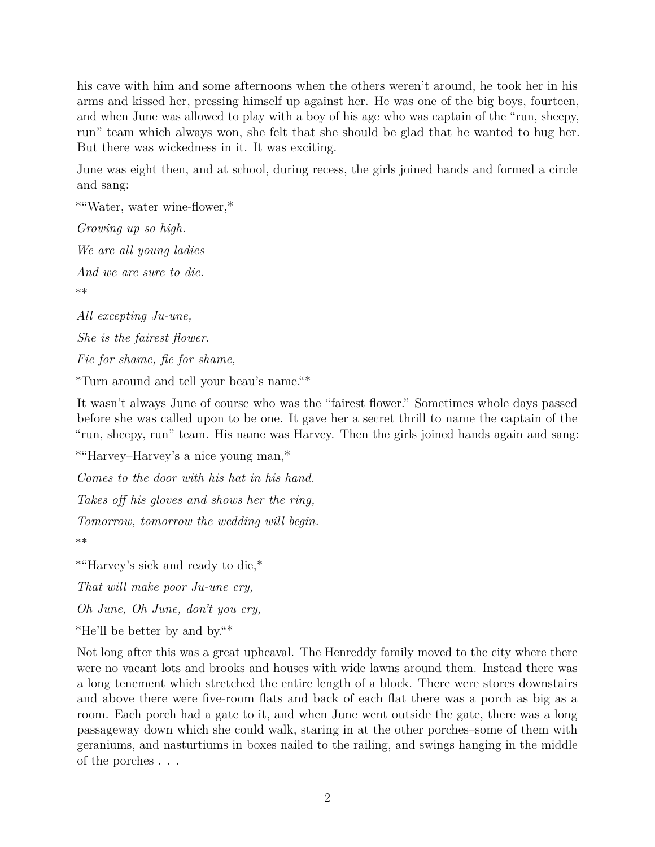his cave with him and some afternoons when the others weren't around, he took her in his arms and kissed her, pressing himself up against her. He was one of the big boys, fourteen, and when June was allowed to play with a boy of his age who was captain of the "run, sheepy, run" team which always won, she felt that she should be glad that he wanted to hug her. But there was wickedness in it. It was exciting.

June was eight then, and at school, during recess, the girls joined hands and formed a circle and sang:

\*"Water, water wine-flower,\* *Growing up so high. We are all young ladies And we are sure to die.* \*\* *All excepting Ju-une, She is the fairest flower.*

*Fie for shame, fie for shame,*

\*Turn around and tell your beau's name."\*

It wasn't always June of course who was the "fairest flower." Sometimes whole days passed before she was called upon to be one. It gave her a secret thrill to name the captain of the "run, sheepy, run" team. His name was Harvey. Then the girls joined hands again and sang:

\*"Harvey–Harvey's a nice young man,\*

*Comes to the door with his hat in his hand.*

*Takes off his gloves and shows her the ring,*

*Tomorrow, tomorrow the wedding will begin.*

\*\*

\*"Harvey's sick and ready to die,\*

*That will make poor Ju-une cry,*

*Oh June, Oh June, don't you cry,*

\*He'll be better by and by."\*

Not long after this was a great upheaval. The Henreddy family moved to the city where there were no vacant lots and brooks and houses with wide lawns around them. Instead there was a long tenement which stretched the entire length of a block. There were stores downstairs and above there were five-room flats and back of each flat there was a porch as big as a room. Each porch had a gate to it, and when June went outside the gate, there was a long passageway down which she could walk, staring in at the other porches–some of them with geraniums, and nasturtiums in boxes nailed to the railing, and swings hanging in the middle of the porches . . .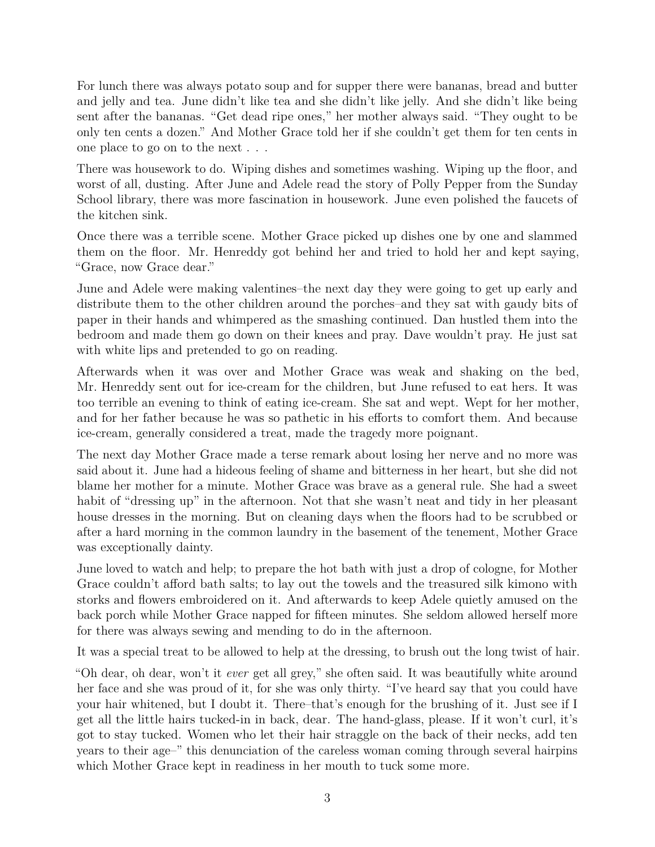For lunch there was always potato soup and for supper there were bananas, bread and butter and jelly and tea. June didn't like tea and she didn't like jelly. And she didn't like being sent after the bananas. "Get dead ripe ones," her mother always said. "They ought to be only ten cents a dozen." And Mother Grace told her if she couldn't get them for ten cents in one place to go on to the next . . .

There was housework to do. Wiping dishes and sometimes washing. Wiping up the floor, and worst of all, dusting. After June and Adele read the story of Polly Pepper from the Sunday School library, there was more fascination in housework. June even polished the faucets of the kitchen sink.

Once there was a terrible scene. Mother Grace picked up dishes one by one and slammed them on the floor. Mr. Henreddy got behind her and tried to hold her and kept saying, "Grace, now Grace dear."

June and Adele were making valentines–the next day they were going to get up early and distribute them to the other children around the porches–and they sat with gaudy bits of paper in their hands and whimpered as the smashing continued. Dan hustled them into the bedroom and made them go down on their knees and pray. Dave wouldn't pray. He just sat with white lips and pretended to go on reading.

Afterwards when it was over and Mother Grace was weak and shaking on the bed, Mr. Henreddy sent out for ice-cream for the children, but June refused to eat hers. It was too terrible an evening to think of eating ice-cream. She sat and wept. Wept for her mother, and for her father because he was so pathetic in his efforts to comfort them. And because ice-cream, generally considered a treat, made the tragedy more poignant.

The next day Mother Grace made a terse remark about losing her nerve and no more was said about it. June had a hideous feeling of shame and bitterness in her heart, but she did not blame her mother for a minute. Mother Grace was brave as a general rule. She had a sweet habit of "dressing up" in the afternoon. Not that she wasn't neat and tidy in her pleasant house dresses in the morning. But on cleaning days when the floors had to be scrubbed or after a hard morning in the common laundry in the basement of the tenement, Mother Grace was exceptionally dainty.

June loved to watch and help; to prepare the hot bath with just a drop of cologne, for Mother Grace couldn't afford bath salts; to lay out the towels and the treasured silk kimono with storks and flowers embroidered on it. And afterwards to keep Adele quietly amused on the back porch while Mother Grace napped for fifteen minutes. She seldom allowed herself more for there was always sewing and mending to do in the afternoon.

It was a special treat to be allowed to help at the dressing, to brush out the long twist of hair.

"Oh dear, oh dear, won't it *ever* get all grey," she often said. It was beautifully white around her face and she was proud of it, for she was only thirty. "I've heard say that you could have your hair whitened, but I doubt it. There–that's enough for the brushing of it. Just see if I get all the little hairs tucked-in in back, dear. The hand-glass, please. If it won't curl, it's got to stay tucked. Women who let their hair straggle on the back of their necks, add ten years to their age–" this denunciation of the careless woman coming through several hairpins which Mother Grace kept in readiness in her mouth to tuck some more.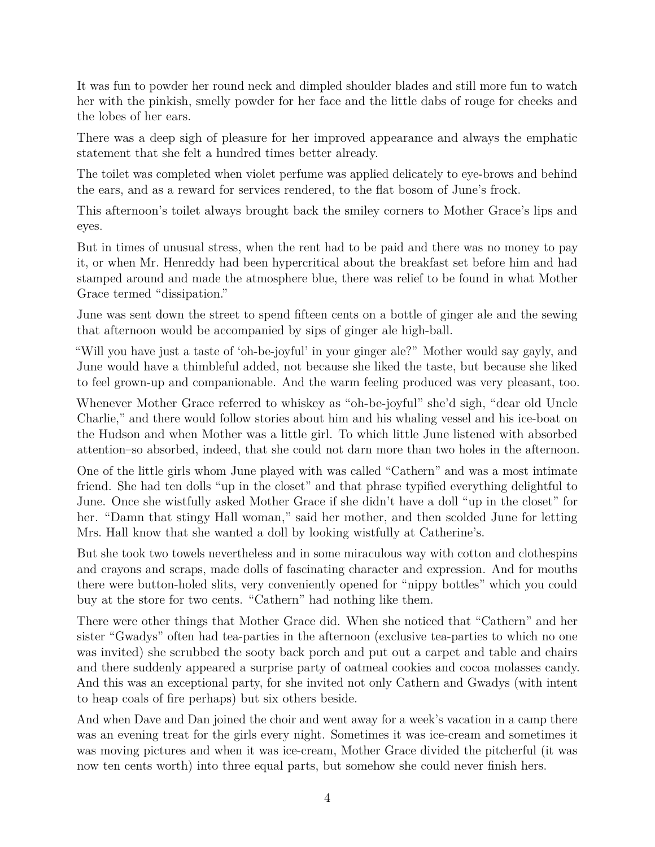It was fun to powder her round neck and dimpled shoulder blades and still more fun to watch her with the pinkish, smelly powder for her face and the little dabs of rouge for cheeks and the lobes of her ears.

There was a deep sigh of pleasure for her improved appearance and always the emphatic statement that she felt a hundred times better already.

The toilet was completed when violet perfume was applied delicately to eye-brows and behind the ears, and as a reward for services rendered, to the flat bosom of June's frock.

This afternoon's toilet always brought back the smiley corners to Mother Grace's lips and eyes.

But in times of unusual stress, when the rent had to be paid and there was no money to pay it, or when Mr. Henreddy had been hypercritical about the breakfast set before him and had stamped around and made the atmosphere blue, there was relief to be found in what Mother Grace termed "dissipation."

June was sent down the street to spend fifteen cents on a bottle of ginger ale and the sewing that afternoon would be accompanied by sips of ginger ale high-ball.

"Will you have just a taste of 'oh-be-joyful' in your ginger ale?" Mother would say gayly, and June would have a thimbleful added, not because she liked the taste, but because she liked to feel grown-up and companionable. And the warm feeling produced was very pleasant, too.

Whenever Mother Grace referred to whiskey as "oh-be-joyful" she'd sigh, "dear old Uncle Charlie," and there would follow stories about him and his whaling vessel and his ice-boat on the Hudson and when Mother was a little girl. To which little June listened with absorbed attention–so absorbed, indeed, that she could not darn more than two holes in the afternoon.

One of the little girls whom June played with was called "Cathern" and was a most intimate friend. She had ten dolls "up in the closet" and that phrase typified everything delightful to June. Once she wistfully asked Mother Grace if she didn't have a doll "up in the closet" for her. "Damn that stingy Hall woman," said her mother, and then scolded June for letting Mrs. Hall know that she wanted a doll by looking wistfully at Catherine's.

But she took two towels nevertheless and in some miraculous way with cotton and clothespins and crayons and scraps, made dolls of fascinating character and expression. And for mouths there were button-holed slits, very conveniently opened for "nippy bottles" which you could buy at the store for two cents. "Cathern" had nothing like them.

There were other things that Mother Grace did. When she noticed that "Cathern" and her sister "Gwadys" often had tea-parties in the afternoon (exclusive tea-parties to which no one was invited) she scrubbed the sooty back porch and put out a carpet and table and chairs and there suddenly appeared a surprise party of oatmeal cookies and cocoa molasses candy. And this was an exceptional party, for she invited not only Cathern and Gwadys (with intent to heap coals of fire perhaps) but six others beside.

And when Dave and Dan joined the choir and went away for a week's vacation in a camp there was an evening treat for the girls every night. Sometimes it was ice-cream and sometimes it was moving pictures and when it was ice-cream, Mother Grace divided the pitcherful (it was now ten cents worth) into three equal parts, but somehow she could never finish hers.